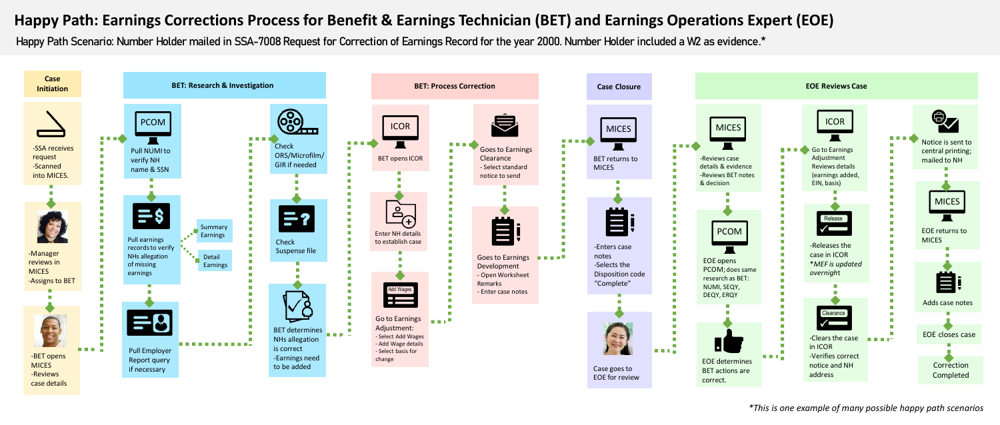## **Happy Path: Earnings Corrections Process for Benefit & Earnings Technician (BET) and Earnings Operations Expert (EOE)**

Happy Path Scenario: Number Holder mailed in SSA-7008 Request for Correction of Earnings Record for the year 2000. Number Holder included a W2 as evidence.\*



*\*This is one example of many possible happy path scenarios*